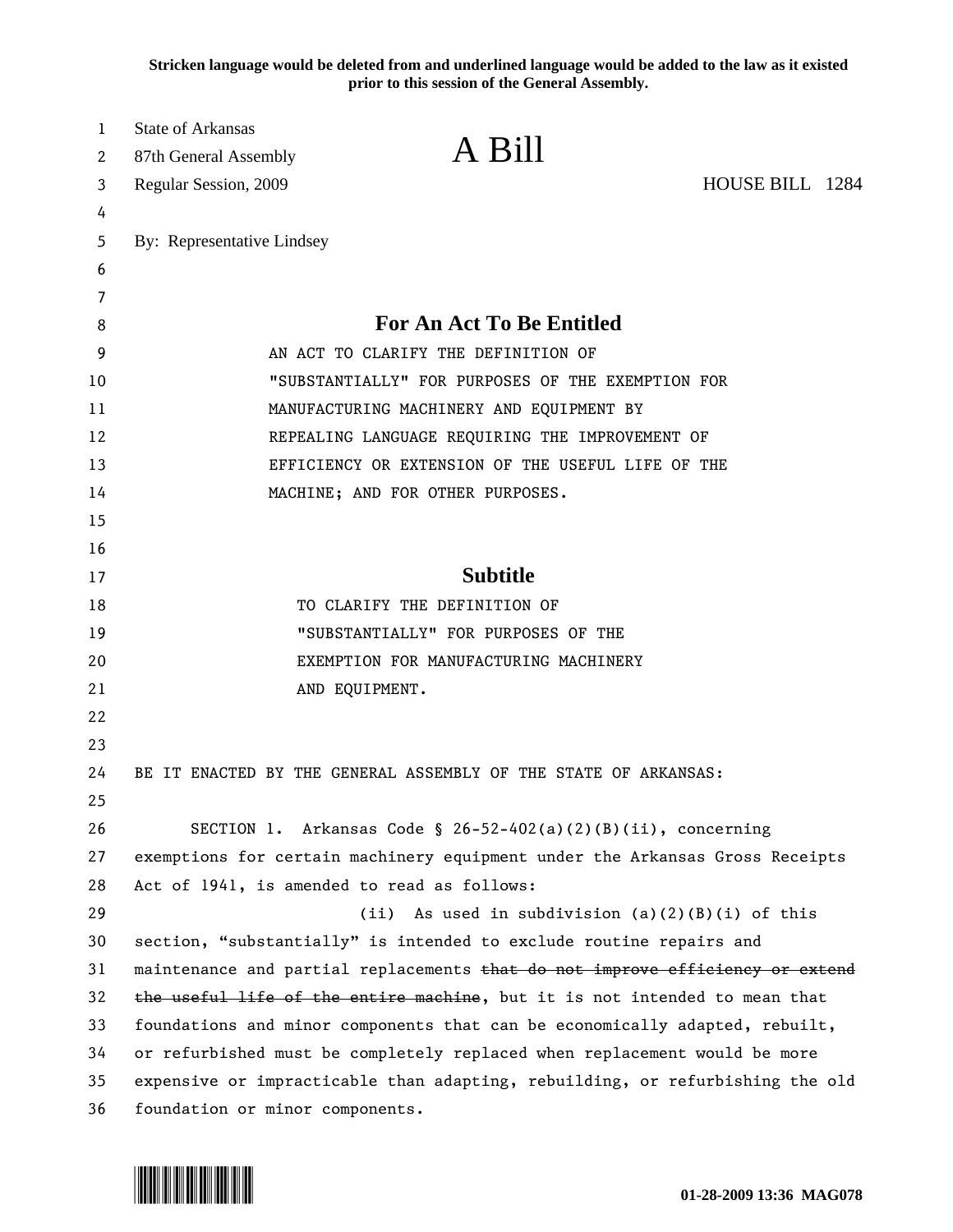**Stricken language would be deleted from and underlined language would be added to the law as it existed prior to this session of the General Assembly.**

| 1  | <b>State of Arkansas</b>                                                      |                                                                               |                 |  |
|----|-------------------------------------------------------------------------------|-------------------------------------------------------------------------------|-----------------|--|
| 2  | 87th General Assembly                                                         | A Bill                                                                        |                 |  |
| 3  | Regular Session, 2009                                                         |                                                                               | HOUSE BILL 1284 |  |
| 4  |                                                                               |                                                                               |                 |  |
| 5  | By: Representative Lindsey                                                    |                                                                               |                 |  |
| 6  |                                                                               |                                                                               |                 |  |
| 7  |                                                                               |                                                                               |                 |  |
| 8  | <b>For An Act To Be Entitled</b>                                              |                                                                               |                 |  |
| 9  | AN ACT TO CLARIFY THE DEFINITION OF                                           |                                                                               |                 |  |
| 10 | "SUBSTANTIALLY" FOR PURPOSES OF THE EXEMPTION FOR                             |                                                                               |                 |  |
| 11 | MANUFACTURING MACHINERY AND EQUIPMENT BY                                      |                                                                               |                 |  |
| 12 | REPEALING LANGUAGE REQUIRING THE IMPROVEMENT OF                               |                                                                               |                 |  |
| 13 | EFFICIENCY OR EXTENSION OF THE USEFUL LIFE OF THE                             |                                                                               |                 |  |
| 14 |                                                                               | MACHINE; AND FOR OTHER PURPOSES.                                              |                 |  |
| 15 |                                                                               |                                                                               |                 |  |
| 16 |                                                                               |                                                                               |                 |  |
| 17 |                                                                               | <b>Subtitle</b>                                                               |                 |  |
| 18 |                                                                               | TO CLARIFY THE DEFINITION OF                                                  |                 |  |
| 19 |                                                                               | "SUBSTANTIALLY" FOR PURPOSES OF THE                                           |                 |  |
| 20 | EXEMPTION FOR MANUFACTURING MACHINERY                                         |                                                                               |                 |  |
| 21 |                                                                               | AND EQUIPMENT.                                                                |                 |  |
| 22 |                                                                               |                                                                               |                 |  |
| 23 |                                                                               |                                                                               |                 |  |
| 24 |                                                                               | BE IT ENACTED BY THE GENERAL ASSEMBLY OF THE STATE OF ARKANSAS:               |                 |  |
| 25 |                                                                               |                                                                               |                 |  |
| 26 |                                                                               | SECTION 1. Arkansas Code § 26-52-402(a)(2)(B)(ii), concerning                 |                 |  |
| 27 |                                                                               | exemptions for certain machinery equipment under the Arkansas Gross Receipts  |                 |  |
| 28 | Act of 1941, is amended to read as follows:                                   |                                                                               |                 |  |
| 29 |                                                                               | (ii) As used in subdivision $(a)(2)(B)(i)$ of this                            |                 |  |
| 30 |                                                                               | section, "substantially" is intended to exclude routine repairs and           |                 |  |
| 31 |                                                                               | maintenance and partial replacements that do not improve efficiency or extend |                 |  |
| 32 | the useful life of the entire machine, but it is not intended to mean that    |                                                                               |                 |  |
| 33 | foundations and minor components that can be economically adapted, rebuilt,   |                                                                               |                 |  |
| 34 | or refurbished must be completely replaced when replacement would be more     |                                                                               |                 |  |
| 35 | expensive or impracticable than adapting, rebuilding, or refurbishing the old |                                                                               |                 |  |
| 36 | foundation or minor components.                                               |                                                                               |                 |  |